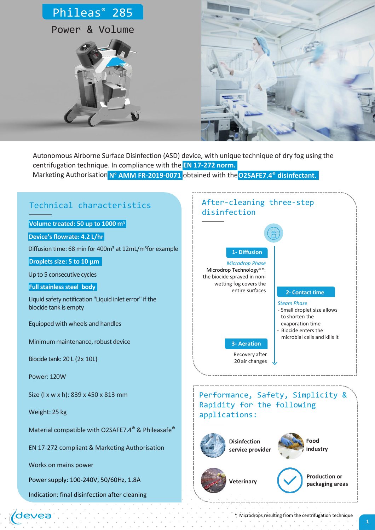



Marketing Authorisation **N° AMM FR-2019-0071** obtained with the**O2SAFE7.4® disinfectant.** Autonomous Airborne Surface Disinfection (ASD) device, with unique technique of dry fog using the centrifugation technique. In compliance with the **EN 17-272 norm.**



\* Microdrops resulting from the centrifugation technique